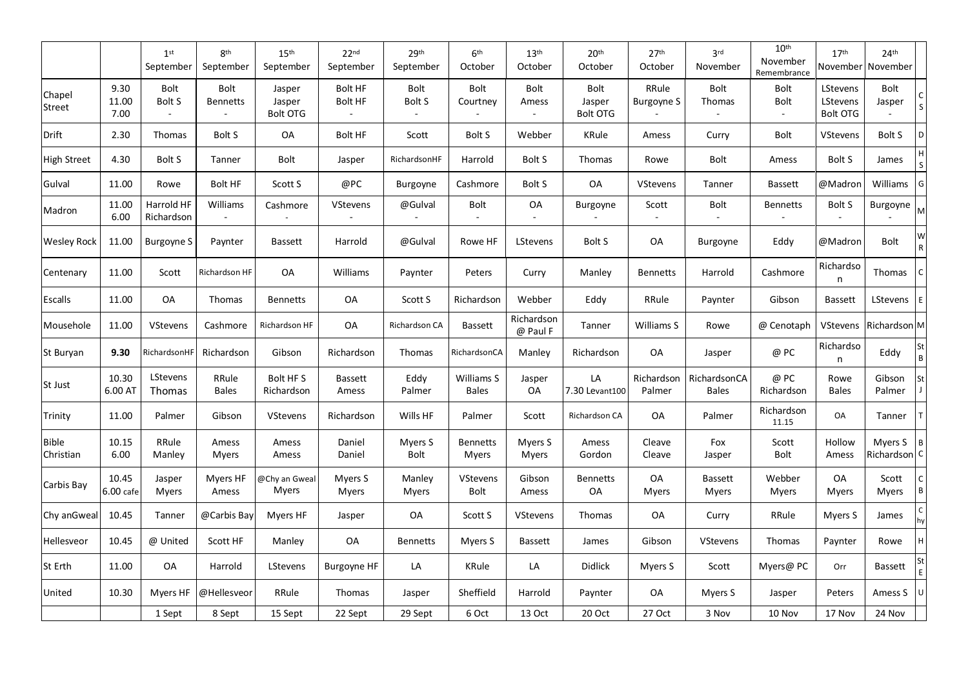|                           |                       | 1 <sup>st</sup><br>September | 8 <sup>th</sup><br>September   | 15 <sup>th</sup><br>September       | 22 <sub>nd</sub><br>September | 29 <sup>th</sup><br>September | 6 <sup>th</sup><br>October | 13 <sup>th</sup><br>October | 20 <sup>th</sup><br>October       | 27 <sup>th</sup><br>October | 3 <sup>rd</sup><br>November  | 10 <sup>th</sup><br>November<br>Remembrance | 17 <sup>th</sup><br>November     | 24 <sup>th</sup><br>November         |        |
|---------------------------|-----------------------|------------------------------|--------------------------------|-------------------------------------|-------------------------------|-------------------------------|----------------------------|-----------------------------|-----------------------------------|-----------------------------|------------------------------|---------------------------------------------|----------------------------------|--------------------------------------|--------|
| Chapel<br>Street          | 9.30<br>11.00<br>7.00 | Bolt<br><b>Bolt S</b>        | <b>Bolt</b><br><b>Bennetts</b> | Jasper<br>Jasper<br><b>Bolt OTG</b> | Bolt HF<br><b>Bolt HF</b>     | <b>Bolt</b><br><b>Bolt S</b>  | Bolt<br>Courtney           | Bolt<br>Amess               | Bolt<br>Jasper<br><b>Bolt OTG</b> | RRule<br><b>Burgoyne S</b>  | Bolt<br>Thomas               | Bolt<br><b>Bolt</b>                         | LStevens<br>LStevens<br>Bolt OTG | Bolt<br>Jasper                       |        |
| Drift                     | 2.30                  | Thomas                       | Bolt S                         | OA                                  | Bolt HF                       | Scott                         | <b>Bolt S</b>              | Webber                      | KRule                             | Amess                       | Curry                        | <b>Bolt</b>                                 | VStevens                         | Bolt S                               |        |
| <b>High Street</b>        | 4.30                  | <b>Bolt S</b>                | Tanner                         | Bolt                                | Jasper                        | RichardsonHF                  | Harrold                    | Bolt S                      | Thomas                            | Rowe                        | Bolt                         | Amess                                       | <b>Bolt S</b>                    | James                                |        |
| Gulval                    | 11.00                 | Rowe                         | <b>Bolt HF</b>                 | Scott S                             | @PC                           | Burgoyne                      | Cashmore                   | <b>Bolt S</b>               | OA                                | <b>VStevens</b>             | Tanner                       | <b>Bassett</b>                              | @Madron                          | Williams                             |        |
| Madron                    | 11.00<br>6.00         | Harrold HF<br>Richardson     | Williams                       | Cashmore                            | VStevens                      | @Gulval                       | <b>Bolt</b>                | OA                          | Burgoyne                          | Scott                       | Bolt<br>$\sim$               | Bennetts                                    | Bolt S                           | Burgoyne                             |        |
| <b>Wesley Rock</b>        | 11.00                 | <b>Burgoyne S</b>            | Paynter                        | <b>Bassett</b>                      | Harrold                       | @Gulval                       | Rowe HF                    | LStevens                    | Bolt S                            | OA                          | Burgoyne                     | Eddy                                        | @Madron                          | Bolt                                 |        |
| Centenary                 | 11.00                 | Scott                        | Richardson HF                  | OA                                  | Williams                      | Paynter                       | Peters                     | Curry                       | Manley                            | <b>Bennetts</b>             | Harrold                      | Cashmore                                    | Richardso<br>n                   | Thomas                               |        |
| <b>Escalls</b>            | 11.00                 | OA                           | Thomas                         | <b>Bennetts</b>                     | OA                            | Scott S                       | Richardson                 | Webber                      | Eddy                              | RRule                       | Paynter                      | Gibson                                      | <b>Bassett</b>                   | LStevens                             |        |
| Mousehole                 | 11.00                 | VStevens                     | Cashmore                       | Richardson HF                       | OA                            | Richardson CA                 | <b>Bassett</b>             | Richardson<br>@ Paul F      | Tanner                            | Williams S                  | Rowe                         | @ Cenotaph                                  | VStevens                         | Richardson M                         |        |
| St Buryan                 | 9.30                  | RichardsonHF                 | Richardson                     | Gibson                              | Richardson                    | Thomas                        | RichardsonCA               | Manley                      | Richardson                        | OA                          | Jasper                       | @ PC                                        | Richardso<br>n                   | Eddy                                 | B      |
| St Just                   | 10.30<br>6.00 AT      | LStevens<br><b>Thomas</b>    | RRule<br><b>Bales</b>          | Bolt HF S<br>Richardson             | <b>Bassett</b><br>Amess       | Eddy<br>Palmer                | Williams S<br><b>Bales</b> | Jasper<br>OA                | LA<br>7.30 Levant100              | Richardson<br>Palmer        | RichardsonCA<br><b>Bales</b> | @ PC<br>Richardson                          | Rowe<br><b>Bales</b>             | Gibson<br>Palmer                     |        |
| Trinity                   | 11.00                 | Palmer                       | Gibson                         | VStevens                            | Richardson                    | Wills HF                      | Palmer                     | Scott                       | Richardson CA                     | OA                          | Palmer                       | Richardson<br>11.15                         | OA                               | Tanner                               |        |
| <b>Bible</b><br>Christian | 10.15<br>6.00         | RRule<br>Manley              | Amess<br><b>Myers</b>          | Amess<br>Amess                      | Daniel<br>Daniel              | Myers S<br><b>Bolt</b>        | <b>Bennetts</b><br>Myers   | Myers S<br><b>Myers</b>     | Amess<br>Gordon                   | Cleave<br>Cleave            | Fox<br>Jasper                | Scott<br>Bolt                               | Hollow<br>Amess                  | Myers S B<br>Richardson <sup>c</sup> |        |
| Carbis Bay                | 10.45<br>6.00 cafe    | Jasper<br>Myers              | Myers HF<br>Amess              | @Chy an Gweal<br>Myers              | Myers S<br>Myers              | Manley<br>Myers               | <b>VStevens</b><br>Bolt    | Gibson<br>Amess             | <b>Bennetts</b><br>OA             | OA<br>Myers                 | Bassett<br><b>Myers</b>      | Webber<br>Myers                             | OA<br><b>Myers</b>               | Scott<br><b>Myers</b>                | $\,$ B |
| Chy anGweal               | 10.45                 | Tanner                       | @Carbis Bay                    | Myers HF                            | Jasper                        | OA                            | Scott S                    | VStevens                    | Thomas                            | OA                          | Curry                        | RRule                                       | Myers S                          | James                                |        |
| Hellesveor                | 10.45                 | @ United                     | Scott HF                       | Manley                              | OA                            | <b>Bennetts</b>               | Myers S                    | <b>Bassett</b>              | James                             | Gibson                      | <b>VStevens</b>              | Thomas                                      | Paynter                          | Rowe                                 |        |
| St Erth                   | 11.00                 | OA                           | Harrold                        | LStevens                            | <b>Burgoyne HF</b>            | LA                            | KRule                      | LA                          | Didlick                           | Myers S                     | Scott                        | Myers@ PC                                   | Orr                              | Bassett                              |        |
| United                    | 10.30                 | Myers HF                     | @Hellesveor                    | RRule                               | Thomas                        | Jasper                        | Sheffield                  | Harrold                     | Paynter                           | OA                          | Myers S                      | Jasper                                      | Peters                           | Amess S                              |        |
|                           |                       | 1 Sept                       | 8 Sept                         | 15 Sept                             | 22 Sept                       | 29 Sept                       | 6 Oct                      | 13 Oct                      | 20 Oct                            | 27 Oct                      | 3 Nov                        | 10 Nov                                      | 17 Nov                           | 24 Nov                               |        |